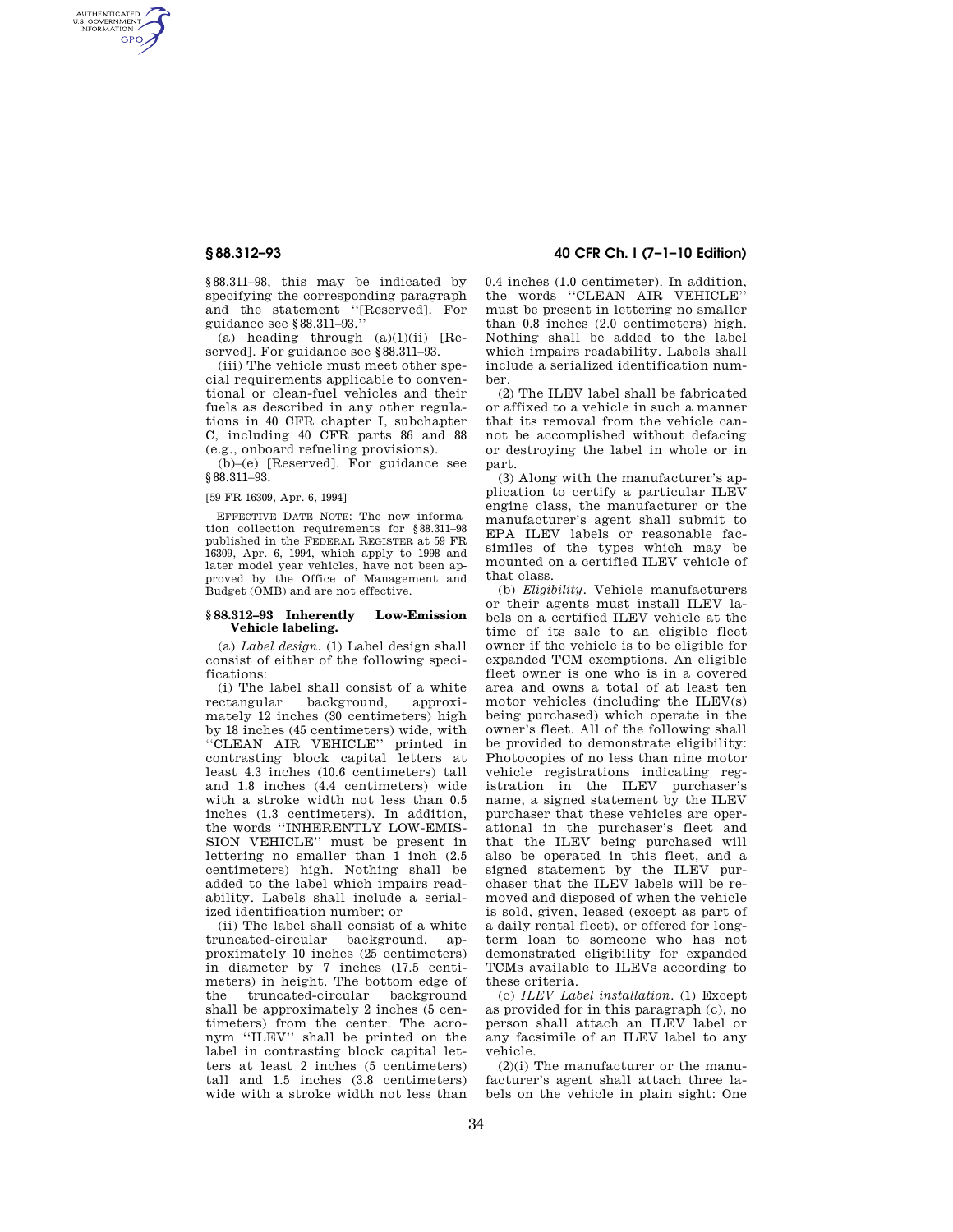AUTHENTICATED<br>U.S. GOVERNMENT<br>INFORMATION **GPO** 

> §88.311–98, this may be indicated by specifying the corresponding paragraph and the statement ''[Reserved]. For guidance see §88.311–93.''

> (a) heading through  $(a)(1)(ii)$  [Reserved]. For guidance see §88.311–93.

(iii) The vehicle must meet other special requirements applicable to conventional or clean-fuel vehicles and their fuels as described in any other regulations in 40 CFR chapter I, subchapter C, including 40 CFR parts 86 and 88 (e.g., onboard refueling provisions).

(b)–(e) [Reserved]. For guidance see §88.311–93.

[59 FR 16309, Apr. 6, 1994]

EFFECTIVE DATE NOTE: The new information collection requirements for §88.311–98 published in the FEDERAL REGISTER at 59 FR 16309, Apr. 6, 1994, which apply to 1998 and later model year vehicles, have not been approved by the Office of Management and Budget (OMB) and are not effective.

#### **§ 88.312–93 Inherently Low-Emission Vehicle labeling.**

(a) *Label design.* (1) Label design shall consist of either of the following specifications:

(i) The label shall consist of a white rectangular background, approximately 12 inches (30 centimeters) high by 18 inches (45 centimeters) wide, with ''CLEAN AIR VEHICLE'' printed in contrasting block capital letters at least 4.3 inches (10.6 centimeters) tall and 1.8 inches (4.4 centimeters) wide with a stroke width not less than 0.5 inches (1.3 centimeters). In addition, the words ''INHERENTLY LOW-EMIS-SION VEHICLE'' must be present in lettering no smaller than  $\overline{1}$  inch (2.5) centimeters) high. Nothing shall be added to the label which impairs readability. Labels shall include a serialized identification number; or

(ii) The label shall consist of a white truncated-circular background, approximately 10 inches (25 centimeters) in diameter by 7 inches (17.5 centimeters) in height. The bottom edge of the truncated-circular background shall be approximately 2 inches (5 centimeters) from the center. The acronym ''ILEV'' shall be printed on the label in contrasting block capital letters at least 2 inches (5 centimeters) tall and 1.5 inches (3.8 centimeters) wide with a stroke width not less than

# **§ 88.312–93 40 CFR Ch. I (7–1–10 Edition)**

0.4 inches (1.0 centimeter). In addition, the words ''CLEAN AIR VEHICLE'' must be present in lettering no smaller than 0.8 inches (2.0 centimeters) high. Nothing shall be added to the label which impairs readability. Labels shall include a serialized identification number.

(2) The ILEV label shall be fabricated or affixed to a vehicle in such a manner that its removal from the vehicle cannot be accomplished without defacing or destroying the label in whole or in part.

(3) Along with the manufacturer's application to certify a particular ILEV engine class, the manufacturer or the manufacturer's agent shall submit to EPA ILEV labels or reasonable facsimiles of the types which may be mounted on a certified ILEV vehicle of that class.

(b) *Eligibility.* Vehicle manufacturers or their agents must install ILEV labels on a certified ILEV vehicle at the time of its sale to an eligible fleet owner if the vehicle is to be eligible for expanded TCM exemptions. An eligible fleet owner is one who is in a covered area and owns a total of at least ten motor vehicles (including the ILEV(s) being purchased) which operate in the owner's fleet. All of the following shall be provided to demonstrate eligibility: Photocopies of no less than nine motor vehicle registrations indicating registration in the ILEV purchaser's name, a signed statement by the ILEV purchaser that these vehicles are operational in the purchaser's fleet and that the ILEV being purchased will also be operated in this fleet, and a signed statement by the ILEV purchaser that the ILEV labels will be removed and disposed of when the vehicle is sold, given, leased (except as part of a daily rental fleet), or offered for longterm loan to someone who has not demonstrated eligibility for expanded TCMs available to ILEVs according to these criteria.

(c) *ILEV Label installation.* (1) Except as provided for in this paragraph (c), no person shall attach an ILEV label or any facsimile of an ILEV label to any vehicle.

(2)(i) The manufacturer or the manufacturer's agent shall attach three labels on the vehicle in plain sight: One